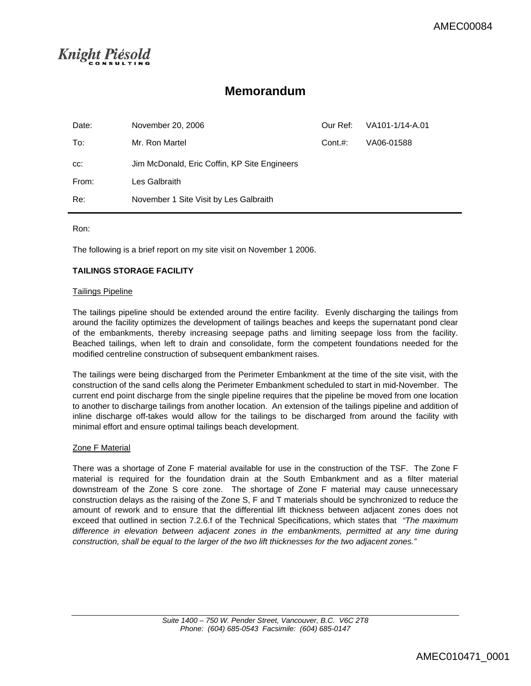## Knight Piésold

### **Memorandum**

| Date: | November 20, 2006                            | Our Ref: | VA101-1/14-A.01 |
|-------|----------------------------------------------|----------|-----------------|
| To:   | Mr. Ron Martel                               | Cont. #: | VA06-01588      |
| CC.   | Jim McDonald, Eric Coffin, KP Site Engineers |          |                 |
| From: | Les Galbraith                                |          |                 |
| Re:   | November 1 Site Visit by Les Galbraith       |          |                 |

Ron:

The following is a brief report on my site visit on November 1 2006.

### **TAILINGS STORAGE FACILITY**

### Tailings Pipeline

The tailings pipeline should be extended around the entire facility. Evenly discharging the tailings from around the facility optimizes the development of tailings beaches and keeps the supernatant pond clear of the embankments, thereby increasing seepage paths and limiting seepage loss from the facility. Beached tailings, when left to drain and consolidate, form the competent foundations needed for the modified centreline construction of subsequent embankment raises.

The tailings were being discharged from the Perimeter Embankment at the time of the site visit, with the construction of the sand cells along the Perimeter Embankment scheduled to start in mid-November. The current end point discharge from the single pipeline requires that the pipeline be moved from one location to another to discharge tailings from another location. An extension of the tailings pipeline and addition of inline discharge off-takes would allow for the tailings to be discharged from around the facility with minimal effort and ensure optimal tailings beach development.

### Zone F Material

There was a shortage of Zone F material available for use in the construction of the TSF. The Zone F material is required for the foundation drain at the South Embankment and as a filter material downstream of the Zone S core zone. The shortage of Zone F material may cause unnecessary construction delays as the raising of the Zone S, F and T materials should be synchronized to reduce the amount of rework and to ensure that the differential lift thickness between adjacent zones does not exceed that outlined in section 7.2.6.f of the Technical Specifications, which states that *"The maximum difference in elevation between adjacent zones in the embankments, permitted at any time during construction, shall be equal to the larger of the two lift thicknesses for the two adjacent zones."*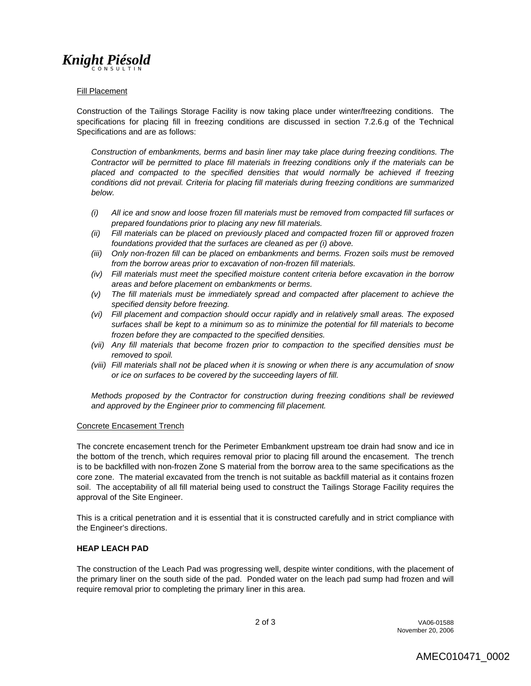## **Knight Piésold**

### Fill Placement

Construction of the Tailings Storage Facility is now taking place under winter/freezing conditions. The specifications for placing fill in freezing conditions are discussed in section 7.2.6.g of the Technical Specifications and are as follows:

*Construction of embankments, berms and basin liner may take place during freezing conditions. The Contractor will be permitted to place fill materials in freezing conditions only if the materials can be placed and compacted to the specified densities that would normally be achieved if freezing conditions did not prevail. Criteria for placing fill materials during freezing conditions are summarized below.* 

- *(i) All ice and snow and loose frozen fill materials must be removed from compacted fill surfaces or prepared foundations prior to placing any new fill materials.*
- *(ii) Fill materials can be placed on previously placed and compacted frozen fill or approved frozen foundations provided that the surfaces are cleaned as per (i) above.*
- *(iii) Only non-frozen fill can be placed on embankments and berms. Frozen soils must be removed from the borrow areas prior to excavation of non-frozen fill materials.*
- *(iv) Fill materials must meet the specified moisture content criteria before excavation in the borrow areas and before placement on embankments or berms.*
- *(v) The fill materials must be immediately spread and compacted after placement to achieve the specified density before freezing.*
- *(vi) Fill placement and compaction should occur rapidly and in relatively small areas. The exposed surfaces shall be kept to a minimum so as to minimize the potential for fill materials to become frozen before they are compacted to the specified densities.*
- *(vii) Any fill materials that become frozen prior to compaction to the specified densities must be removed to spoil.*
- *(viii) Fill materials shall not be placed when it is snowing or when there is any accumulation of snow or ice on surfaces to be covered by the succeeding layers of fill.*

*Methods proposed by the Contractor for construction during freezing conditions shall be reviewed and approved by the Engineer prior to commencing fill placement.* 

### Concrete Encasement Trench

The concrete encasement trench for the Perimeter Embankment upstream toe drain had snow and ice in the bottom of the trench, which requires removal prior to placing fill around the encasement. The trench is to be backfilled with non-frozen Zone S material from the borrow area to the same specifications as the core zone. The material excavated from the trench is not suitable as backfill material as it contains frozen soil. The acceptability of all fill material being used to construct the Tailings Storage Facility requires the approval of the Site Engineer.

This is a critical penetration and it is essential that it is constructed carefully and in strict compliance with the Engineer's directions.

### **HEAP LEACH PAD**

The construction of the Leach Pad was progressing well, despite winter conditions, with the placement of the primary liner on the south side of the pad. Ponded water on the leach pad sump had frozen and will require removal prior to completing the primary liner in this area.

2 of 3 VA06-01588 November 20, 2006